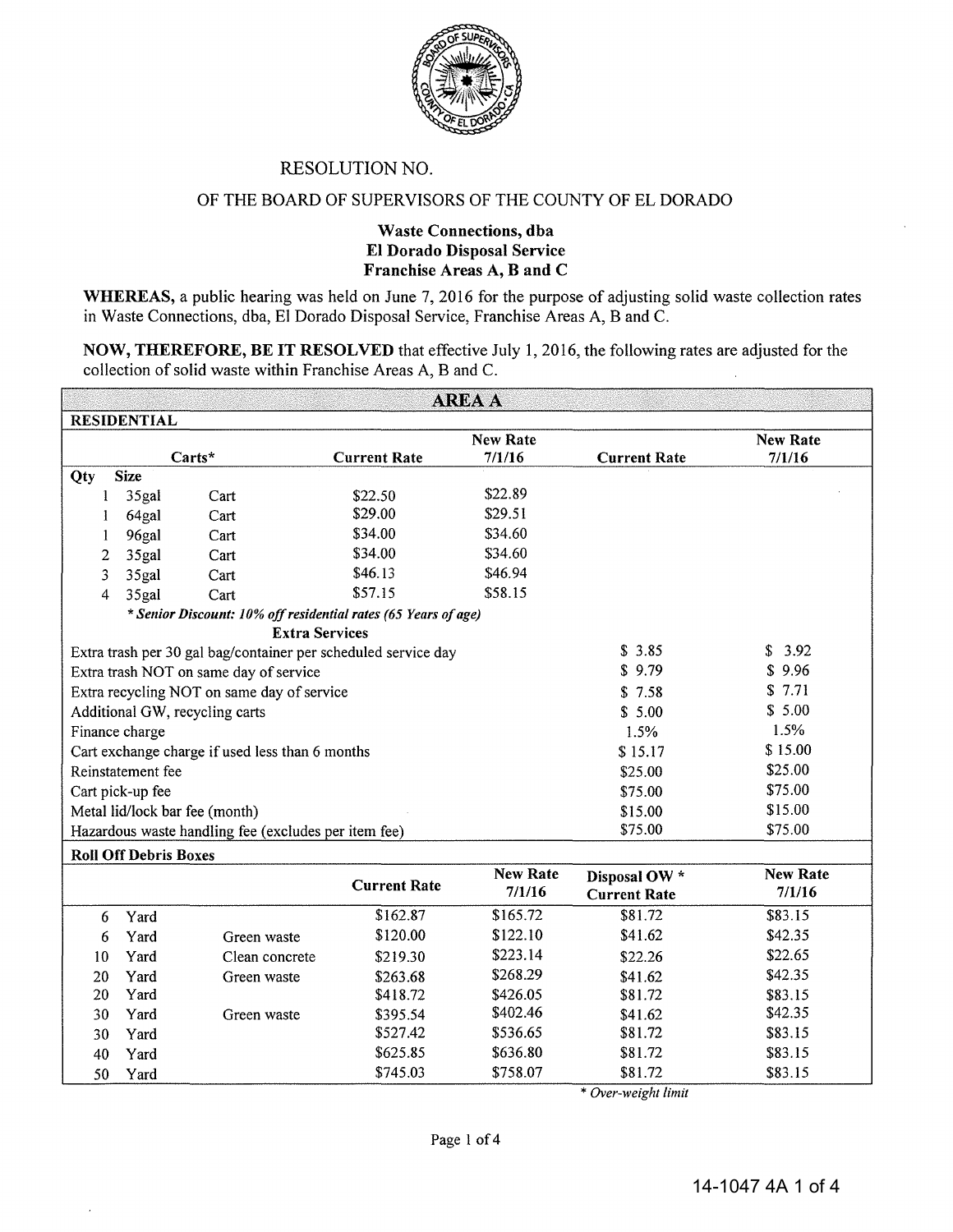

### RESOLUTION NO.

### OF THE BOARD OF SUPERVISORS OF THE COUNTY OF EL DORADO

### Waste Connections, dba El Dorado Disposal Service Franchise Areas A, B and C

WHEREAS, a public hearing was held on June 7, 2016 for the purpose of adjusting solid waste collection rates in Waste Connections, dba, El Dorado Disposal Service, Franchise Areas A, B and C.

NOW, THEREFORE, BE IT RESOLVED that effective July 1, 2016, the following rates are adjusted for the collection of solid waste within Franchise Areas A, B and C.

| <b>AREA A</b>                                              |                                                                |                                                                |                     |                           |                                      |                           |  |  |  |  |  |
|------------------------------------------------------------|----------------------------------------------------------------|----------------------------------------------------------------|---------------------|---------------------------|--------------------------------------|---------------------------|--|--|--|--|--|
| <b>RESIDENTIAL</b>                                         |                                                                |                                                                |                     |                           |                                      |                           |  |  |  |  |  |
|                                                            |                                                                |                                                                |                     | <b>New Rate</b>           |                                      | <b>New Rate</b>           |  |  |  |  |  |
|                                                            |                                                                | Carts*                                                         | <b>Current Rate</b> | 7/1/16                    | <b>Current Rate</b>                  | 7/1/16                    |  |  |  |  |  |
| Qty                                                        | <b>Size</b>                                                    |                                                                |                     |                           |                                      |                           |  |  |  |  |  |
| 1                                                          | 35gal                                                          | Cart                                                           | \$22.50             | \$22.89                   |                                      |                           |  |  |  |  |  |
|                                                            | 64gal                                                          | Cart                                                           | \$29.00             | \$29.51                   |                                      |                           |  |  |  |  |  |
| 1                                                          | 96gal                                                          | Cart                                                           | \$34.00             | \$34.60                   |                                      |                           |  |  |  |  |  |
| 2                                                          | 35gal                                                          | Cart                                                           | \$34.00             | \$34.60                   |                                      |                           |  |  |  |  |  |
| 3                                                          | 35gal                                                          | Cart                                                           | \$46.13             | \$46.94                   |                                      |                           |  |  |  |  |  |
| 4                                                          | 35gal                                                          | Cart                                                           | \$57.15             | \$58.15                   |                                      |                           |  |  |  |  |  |
|                                                            | * Senior Discount: 10% off residential rates (65 Years of age) |                                                                |                     |                           |                                      |                           |  |  |  |  |  |
|                                                            |                                                                | <b>Extra Services</b>                                          |                     |                           |                                      |                           |  |  |  |  |  |
|                                                            |                                                                | Extra trash per 30 gal bag/container per scheduled service day |                     |                           | \$3.85                               | \$<br>3.92                |  |  |  |  |  |
| \$9.79<br>\$9.96<br>Extra trash NOT on same day of service |                                                                |                                                                |                     |                           |                                      |                           |  |  |  |  |  |
|                                                            |                                                                | Extra recycling NOT on same day of service                     |                     |                           | \$7.58                               | \$7.71                    |  |  |  |  |  |
|                                                            |                                                                | Additional GW, recycling carts                                 |                     |                           | \$5.00                               | \$5.00                    |  |  |  |  |  |
|                                                            | Finance charge                                                 |                                                                |                     |                           | 1.5%                                 | 1.5%                      |  |  |  |  |  |
|                                                            |                                                                | Cart exchange charge if used less than 6 months                |                     |                           | \$15.17                              | \$15.00                   |  |  |  |  |  |
|                                                            | Reinstatement fee                                              |                                                                |                     |                           | \$25.00                              | \$25.00                   |  |  |  |  |  |
|                                                            | Cart pick-up fee                                               |                                                                |                     |                           | \$75.00                              | \$75.00                   |  |  |  |  |  |
|                                                            |                                                                | Metal lid/lock bar fee (month)                                 |                     |                           | \$15.00                              | \$15.00                   |  |  |  |  |  |
|                                                            |                                                                | Hazardous waste handling fee (excludes per item fee)           |                     |                           | \$75.00                              | \$75.00                   |  |  |  |  |  |
|                                                            | <b>Roll Off Debris Boxes</b>                                   |                                                                |                     |                           |                                      |                           |  |  |  |  |  |
|                                                            |                                                                |                                                                | <b>Current Rate</b> | <b>New Rate</b><br>7/1/16 | Disposal OW *<br><b>Current Rate</b> | <b>New Rate</b><br>7/1/16 |  |  |  |  |  |
| 6                                                          | Yard                                                           |                                                                | \$162.87            | \$165.72                  | \$81.72                              | \$83.15                   |  |  |  |  |  |
| 6                                                          | Yard                                                           | Green waste                                                    | \$120.00            | \$122.10                  | \$41.62                              | \$42.35                   |  |  |  |  |  |
| 10                                                         | Yard                                                           | Clean concrete                                                 | \$219.30            | \$223.14                  | \$22.26                              | \$22.65                   |  |  |  |  |  |
| 20                                                         | Yard                                                           | Green waste                                                    | \$263.68            | \$268.29                  | \$41.62                              | \$42.35                   |  |  |  |  |  |
| 20                                                         | Yard                                                           |                                                                | \$418.72            | \$426.05                  | \$81.72                              | \$83.15                   |  |  |  |  |  |
| 30                                                         | Yard                                                           | Green waste                                                    | \$395.54            | \$402.46                  | \$41.62                              | \$42.35                   |  |  |  |  |  |

\* *Over-wetght hmtt* 

30 Yard \$527.42 \$536.65 \$81.72 \$83.15 40 Yard \$625.85 \$636.80 \$81.72 \$83.15 50 Yard \$745.03 \$758.07 \$81.72 \$83.15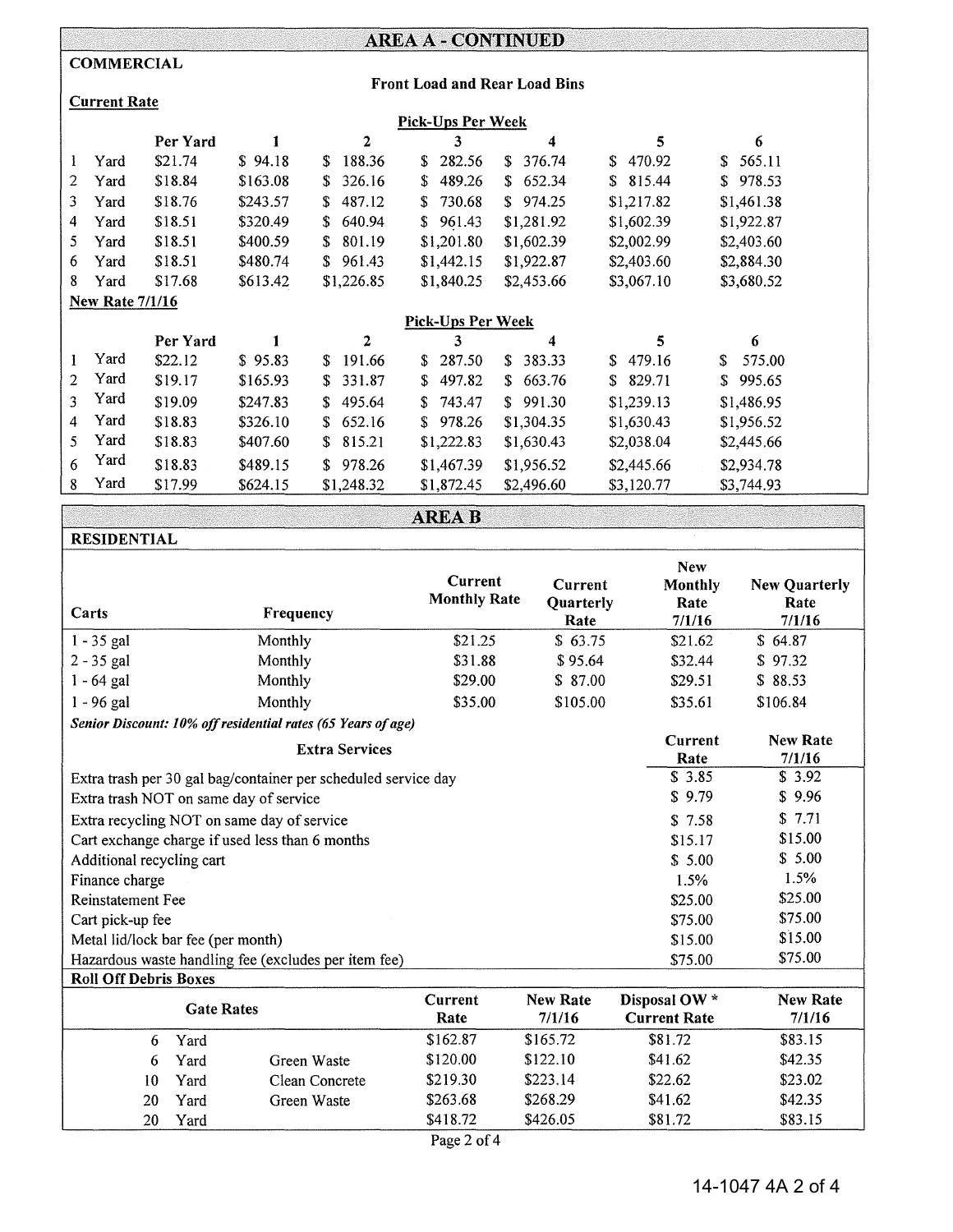# AREA A- CONTINUED

### **COMMERCIAL**

RESIDENTIAL

#### Front Load and Rear Load Bins

## Current Rate

|                | <b>Pick-Ups Per Week</b> |          |          |              |                          |              |              |               |  |
|----------------|--------------------------|----------|----------|--------------|--------------------------|--------------|--------------|---------------|--|
|                |                          | Per Yard |          | 2            | 3                        | 4            | 5            | 6             |  |
| 1              | Yard                     | \$21.74  | \$94.18  | 188.36<br>S. | 282.56<br>S.             | 376.74<br>S. | \$470.92     | 565.11<br>\$. |  |
| 2              | Yard                     | \$18.84  | \$163.08 | 326.16<br>S. | \$<br>489.26             | \$652.34     | 815.44<br>S. | 978.53<br>S.  |  |
| 3              | Yard                     | \$18.76  | \$243.57 | 487.12<br>S. | \$<br>730.68             | \$974.25     | \$1,217.82   | \$1,461.38    |  |
| 4              | Yard                     | \$18.51  | \$320.49 | 640.94<br>S. | 961.43<br>S              | \$1,281.92   | \$1,602.39   | \$1,922.87    |  |
| 5              | Yard                     | \$18.51  | \$400.59 | 801.19<br>S. | \$1,201.80               | \$1,602.39   | \$2,002.99   | \$2,403.60    |  |
| 6              | Yard                     | \$18.51  | \$480.74 | 961.43<br>S. | \$1,442.15               | \$1,922.87   | \$2,403.60   | \$2,884.30    |  |
| 8              | Yard                     | \$17.68  | \$613.42 | \$1,226.85   | \$1,840.25               | \$2,453.66   | \$3,067.10   | \$3,680.52    |  |
|                | <b>New Rate 7/1/16</b>   |          |          |              |                          |              |              |               |  |
|                |                          |          |          |              | <b>Pick-Ups Per Week</b> |              |              |               |  |
|                |                          | Per Yard |          | $\mathbf{2}$ | 3                        | 4            | 5            | 6             |  |
| 1              | Yard                     | \$22.12  | \$95.83  | 191.66<br>S. | 287.50<br>\$             | 383.33<br>S. | 479.16<br>S. | 575.00<br>S   |  |
| $\overline{2}$ | Yard                     | \$19.17  | \$165.93 | 331.87<br>S. | \$<br>497.82             | \$663.76     | 829.71<br>S. | 995.65<br>S.  |  |
| 3              | Yard                     | \$19.09  | \$247.83 | 495.64<br>S. | 743.47<br>S.             | \$991.30     | \$1,239.13   | \$1,486.95    |  |
| 4              | Yard                     | \$18.83  | \$326.10 | 652.16<br>S. | 978.26<br>S              | \$1,304.35   | \$1,630.43   | \$1,956.52    |  |
| 5.             | Yard                     | \$18.83  | \$407.60 | 815.21<br>S. | \$1,222.83               | \$1,630.43   | \$2,038.04   | \$2,445.66    |  |
| 6              | Yard                     | \$18.83  | \$489.15 | 978.26<br>S. | \$1,467.39               | \$1,956.52   | \$2,445.66   | \$2,934.78    |  |
| 8              | Yard                     | \$17.99  | \$624.15 | \$1,248.32   | \$1,872.45               | \$2,496.60   | \$3,120.77   | \$3,744.93    |  |

|  |  |  |  |  |  |  |  |  | <b>AREA B</b> |  |  |  |  |  |  |  |  |  |  |  |  |  |
|--|--|--|--|--|--|--|--|--|---------------|--|--|--|--|--|--|--|--|--|--|--|--|--|
|  |  |  |  |  |  |  |  |  |               |  |  |  |  |  |  |  |  |  |  |  |  |  |
|  |  |  |  |  |  |  |  |  |               |  |  |  |  |  |  |  |  |  |  |  |  |  |
|  |  |  |  |  |  |  |  |  |               |  |  |  |  |  |  |  |  |  |  |  |  |  |
|  |  |  |  |  |  |  |  |  |               |  |  |  |  |  |  |  |  |  |  |  |  |  |

|                                        |                                                              |                                                                |                     |           | <b>New</b>          |                      |  |  |  |  |
|----------------------------------------|--------------------------------------------------------------|----------------------------------------------------------------|---------------------|-----------|---------------------|----------------------|--|--|--|--|
|                                        |                                                              |                                                                | Current             | Current   | <b>Monthly</b>      | <b>New Quarterly</b> |  |  |  |  |
| Carts                                  |                                                              | Frequency                                                      | <b>Monthly Rate</b> | Quarterly | Rate                | Rate                 |  |  |  |  |
|                                        |                                                              |                                                                |                     | Rate      | 7/1/16              | 7/1/16               |  |  |  |  |
| $1 - 35$ gal                           |                                                              | Monthly                                                        | \$21.25             | \$63.75   | \$21.62             | \$64.87              |  |  |  |  |
| $2 - 35$ gal                           |                                                              | Monthly                                                        | \$31.88             | \$95.64   | \$32.44             | \$97.32              |  |  |  |  |
| $1 - 64$ gal                           |                                                              | Monthly                                                        | \$29.00             | \$87.00   | \$29.51             | \$88.53              |  |  |  |  |
| $1 - 96$ gal                           |                                                              | Monthly                                                        | \$35.00             | \$105.00  | \$35.61             | \$106.84             |  |  |  |  |
|                                        | Senior Discount: 10% off residential rates (65 Years of age) |                                                                |                     |           |                     |                      |  |  |  |  |
|                                        |                                                              | Current                                                        | <b>New Rate</b>     |           |                     |                      |  |  |  |  |
|                                        |                                                              | <b>Extra Services</b>                                          |                     |           | Rate                | 7/1/16               |  |  |  |  |
|                                        |                                                              | Extra trash per 30 gal bag/container per scheduled service day |                     |           | \$3.85              | \$3.92               |  |  |  |  |
| Extra trash NOT on same day of service |                                                              | \$9.79                                                         | \$9.96              |           |                     |                      |  |  |  |  |
|                                        |                                                              | Extra recycling NOT on same day of service                     |                     | \$7.58    | \$7.71              |                      |  |  |  |  |
|                                        |                                                              | Cart exchange charge if used less than 6 months                |                     |           | \$15.17             | \$15.00              |  |  |  |  |
| Additional recycling cart              |                                                              |                                                                |                     |           | \$5.00              | \$5.00               |  |  |  |  |
| Finance charge                         |                                                              |                                                                |                     |           | 1.5%                | 1.5%                 |  |  |  |  |
| <b>Reinstatement Fee</b>               |                                                              |                                                                |                     |           | \$25.00             | \$25.00              |  |  |  |  |
| Cart pick-up fee                       |                                                              |                                                                |                     |           | \$75.00             | \$75.00              |  |  |  |  |
| Metal lid/lock bar fee (per month)     |                                                              |                                                                |                     |           | \$15.00             | \$15.00              |  |  |  |  |
|                                        |                                                              | Hazardous waste handling fee (excludes per item fee)           |                     |           | \$75.00             | \$75.00              |  |  |  |  |
| <b>Roll Off Debris Boxes</b>           |                                                              |                                                                |                     |           |                     |                      |  |  |  |  |
|                                        | <b>Gate Rates</b>                                            |                                                                | Current             | New Rate  | Disposal OW *       | <b>New Rate</b>      |  |  |  |  |
|                                        |                                                              |                                                                | Rate                | 7/1/16    | <b>Current Rate</b> | 7/1/16               |  |  |  |  |
| 6                                      | Yard                                                         |                                                                | \$162.87            | \$165.72  | \$81.72             | \$83.15              |  |  |  |  |
| 6                                      | Yard                                                         | Green Waste                                                    | \$120.00            | \$122.10  | \$41.62             | \$42.35              |  |  |  |  |
| 10                                     | Yard                                                         | Clean Concrete                                                 | \$219.30            | \$223.14  | \$22.62             | \$23.02              |  |  |  |  |
| 20                                     | Yard                                                         | Green Waste                                                    | \$263.68            | \$268.29  | \$41.62             | \$42.35              |  |  |  |  |
| 20                                     | Yard                                                         |                                                                | \$418.72            | \$426.05  | \$81.72             | \$83.15              |  |  |  |  |

Page 2 of 4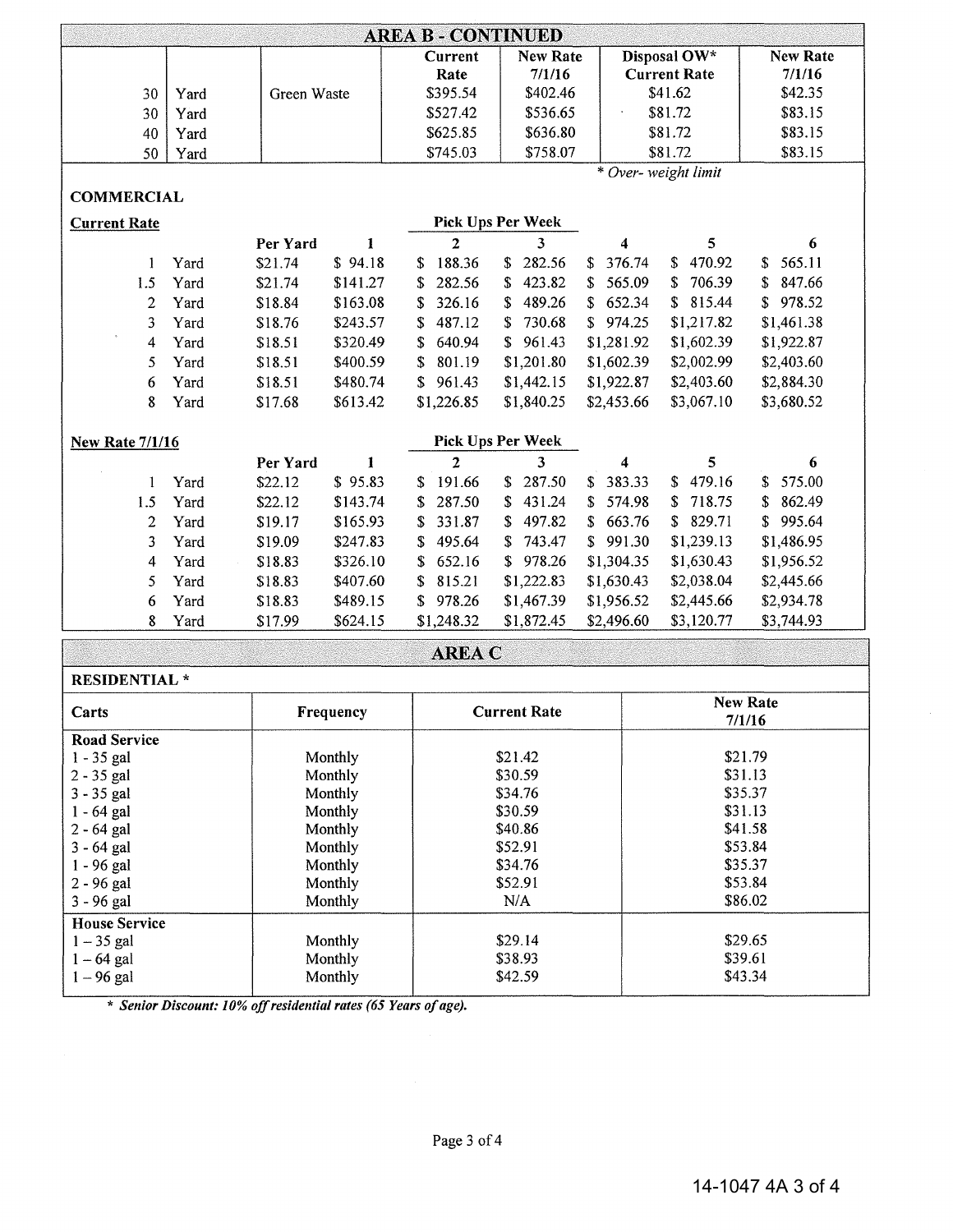| <b>AREA B - CONTINUED</b><br>Disposal OW*<br>New Rate<br><b>New Rate</b><br>Current<br><b>Current Rate</b><br>7/1/16<br>7/1/16<br>Rate<br>\$41.62<br>\$42.35<br>\$395.54<br>\$402.46<br>Green Waste<br>30<br>Yard<br>\$81.72<br>\$83.15<br>\$527.42<br>\$536.65<br>Yard<br>30<br>\$625.85<br>\$636.80<br>\$81.72<br>\$83.15<br>40<br>Yard<br>\$81.72<br>\$83.15<br>\$745.03<br>\$758.07<br>50<br>Yard<br>* Over- weight limit<br><b>COMMERCIAL</b> |
|----------------------------------------------------------------------------------------------------------------------------------------------------------------------------------------------------------------------------------------------------------------------------------------------------------------------------------------------------------------------------------------------------------------------------------------------------|
|                                                                                                                                                                                                                                                                                                                                                                                                                                                    |
|                                                                                                                                                                                                                                                                                                                                                                                                                                                    |
|                                                                                                                                                                                                                                                                                                                                                                                                                                                    |
|                                                                                                                                                                                                                                                                                                                                                                                                                                                    |
|                                                                                                                                                                                                                                                                                                                                                                                                                                                    |
|                                                                                                                                                                                                                                                                                                                                                                                                                                                    |
|                                                                                                                                                                                                                                                                                                                                                                                                                                                    |
|                                                                                                                                                                                                                                                                                                                                                                                                                                                    |
| Pick Ups Per Week<br><b>Current Rate</b>                                                                                                                                                                                                                                                                                                                                                                                                           |
| $\overline{2}$<br>3<br>4<br>5<br>Per Yard<br>1<br>6                                                                                                                                                                                                                                                                                                                                                                                                |
| 188.36<br>282.56<br>376.74<br>470.92<br>565.11<br>Yard<br>\$94.18<br>\$<br>£.<br>\$21.74<br>\$<br>1<br>S.<br>S.                                                                                                                                                                                                                                                                                                                                    |
| 423.82<br>706.39<br>1.5<br>Yard<br>\$21.74<br>282.56<br>565.09<br>847.66<br>\$141.27<br>\$<br>\$<br>S.<br>\$<br>S.                                                                                                                                                                                                                                                                                                                                 |
| $\overline{2}$<br>326.16<br>489.26<br>\$652.34<br>\$815.44<br>\$978.52<br>Yard<br>\$18.84<br>\$163.08<br>\$<br>S.                                                                                                                                                                                                                                                                                                                                  |
| 3<br>\$18.76<br>\$243.57<br>487.12<br>730.68<br>\$974.25<br>\$1,217.82<br>\$1,461.38<br>Yard<br>S<br>S                                                                                                                                                                                                                                                                                                                                             |
| \$961.43<br>\$18.51<br>\$320.49<br>640.94<br>\$1,281.92<br>\$1,602.39<br>\$1,922.87<br>4<br>Yard<br>\$                                                                                                                                                                                                                                                                                                                                             |
| \$2,002.99<br>\$2,403.60<br>5<br>\$18.51<br>\$400.59<br>801.19<br>\$1,201.80<br>\$1,602.39<br>Yard<br>S                                                                                                                                                                                                                                                                                                                                            |
| \$1,442.15<br>\$1,922.87<br>\$2,403.60<br>\$2,884.30<br>6<br>Yard<br>\$18.51<br>\$480.74<br>S<br>961.43                                                                                                                                                                                                                                                                                                                                            |
| 8<br>\$613.42<br>\$1,226.85<br>\$1,840.25<br>\$2,453.66<br>\$3,067.10<br>\$3,680.52<br>Yard<br>\$17.68                                                                                                                                                                                                                                                                                                                                             |
| Pick Ups Per Week<br><b>New Rate 7/1/16</b>                                                                                                                                                                                                                                                                                                                                                                                                        |
| $\overline{2}$<br>3<br>Per Yard<br>4<br>5<br>1<br>6                                                                                                                                                                                                                                                                                                                                                                                                |
| 479.16<br>575.00<br>\$95.83<br>191.66<br>287.50<br>383.33<br>\$22.12<br>$\mathbb{S}$<br>S.<br>Yard<br>S<br>S.<br>1<br>S                                                                                                                                                                                                                                                                                                                            |
| \$22.12<br>287.50<br>431.24<br>574.98<br>718.75<br>862.49<br>1.5<br>Yard<br>\$143.74<br>\$<br>S<br>S<br>\$<br>\$.                                                                                                                                                                                                                                                                                                                                  |
| $\overline{2}$<br>331.87<br>497.82<br>\$663.76<br>\$829.71<br>995.64<br>Yard<br>\$19.17<br>\$165.93<br>S<br>S<br>\$                                                                                                                                                                                                                                                                                                                                |
| 743.47<br>\$991.30<br>\$1,239.13<br>\$1,486.95<br>3<br>Yard<br>\$19.09<br>\$247.83<br>495.64<br>\$<br>S                                                                                                                                                                                                                                                                                                                                            |
| \$978.26<br>\$1,304.35<br>\$1,630.43<br>\$1,956.52<br>Yard<br>\$18.83<br>\$326.10<br>652.16<br>4<br>S                                                                                                                                                                                                                                                                                                                                              |
| \$1,222.83<br>\$2,038.04<br>\$2,445.66<br>5<br>Yard<br>\$18.83<br>\$407.60<br>815.21<br>\$1,630.43<br>S                                                                                                                                                                                                                                                                                                                                            |
| 978.26<br>\$1,467.39<br>\$2,445.66<br>Yard<br>\$18.83<br>\$489.15<br>\$1,956.52<br>\$2,934.78<br>6<br>S                                                                                                                                                                                                                                                                                                                                            |
| \$3,120.77<br>\$3,744.93<br>8<br>\$17.99<br>\$624.15<br>\$1,248.32<br>\$1,872.45<br>\$2,496.60<br>Yard                                                                                                                                                                                                                                                                                                                                             |
| <b>AREA C</b>                                                                                                                                                                                                                                                                                                                                                                                                                                      |
| <b>RESIDENTIAL*</b>                                                                                                                                                                                                                                                                                                                                                                                                                                |
| New Rate<br><b>Current Rate</b><br>Carts<br>Frequency<br>7/1/16                                                                                                                                                                                                                                                                                                                                                                                    |
| Road Service                                                                                                                                                                                                                                                                                                                                                                                                                                       |
| \$21.42<br>\$21.79<br>$1 - 35$ gal<br>Monthly                                                                                                                                                                                                                                                                                                                                                                                                      |
| \$30.59<br>\$31.13<br>$2 - 35$ gal<br>Monthly                                                                                                                                                                                                                                                                                                                                                                                                      |
| \$35.37<br>3 - 35 gal<br>Monthly<br>\$34.76                                                                                                                                                                                                                                                                                                                                                                                                        |
| \$31.13<br>\$30.59<br>$1 - 64$ gal<br>Monthly                                                                                                                                                                                                                                                                                                                                                                                                      |
| \$41.58<br>\$40.86<br>$2 - 64$ gal<br>Monthly                                                                                                                                                                                                                                                                                                                                                                                                      |
| \$52.91<br>\$53.84<br>3 - 64 gal<br>Monthly                                                                                                                                                                                                                                                                                                                                                                                                        |
| \$35.37<br>1 - 96 gal<br>\$34.76<br>Monthly<br>\$53.84                                                                                                                                                                                                                                                                                                                                                                                             |
| \$52.91<br>2 - 96 gal<br>Monthly<br>$\rm N/A$<br>\$86.02<br>3 - 96 gal<br>Monthly                                                                                                                                                                                                                                                                                                                                                                  |

1-35 gal 1-64 gal 1-96 gal Monthly Monthly Monthly \$29.I4 \$38.93 \$42.59

\* *Senior Discount: 10% off residential rates (65 Years of age).* 

3-96 gal House Service

\$29.65  $$39.61$ \$43.34